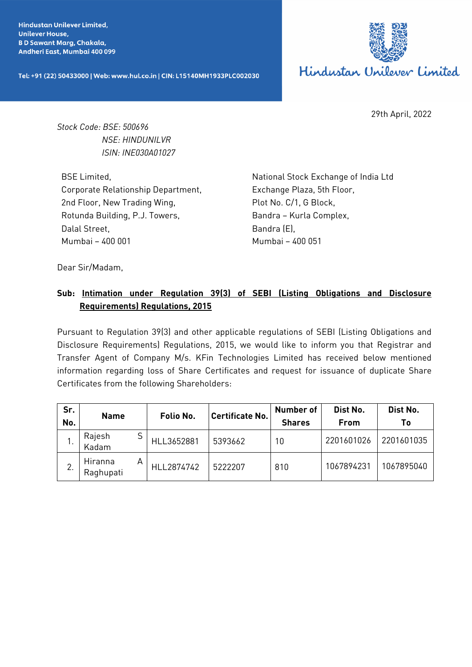**Hindustan Unilever Limited. Unilever House, BD Sawant Marg, Chakala,** Andheri East, Mumbai 400 099

Tel: +91 (22) 50433000 | Web: www.hul.co.in | CIN: L15140MH1933PLC002030



29th April, 2022

*Stock Code: BSE: 500696 NSE: HINDUNILVR ISIN: INE030A01027*

BSE Limited, Corporate Relationship Department, 2nd Floor, New Trading Wing, Rotunda Building, P.J. Towers, Dalal Street, Mumbai – 400 001

National Stock Exchange of India Ltd Exchange Plaza, 5th Floor, Plot No. C/1, G Block, Bandra – Kurla Complex, Bandra (E), Mumbai – 400 051

Dear Sir/Madam,

## **Sub: Intimation under Regulation 39(3) of SEBI (Listing Obligations and Disclosure Requirements) Regulations, 2015**

Pursuant to Regulation 39(3) and other applicable regulations of SEBI (Listing Obligations and Disclosure Requirements) Regulations, 2015, we would like to inform you that Registrar and Transfer Agent of Company M/s. KFin Technologies Limited has received below mentioned information regarding loss of Share Certificates and request for issuance of duplicate Share Certificates from the following Shareholders:

| Sr.<br>No. | <b>Name</b>          |   | Folio No.  | <b>Certificate No.</b> | <b>Number of</b><br><b>Shares</b> | Dist No.<br><b>From</b> | Dist No.<br>Τo |
|------------|----------------------|---|------------|------------------------|-----------------------------------|-------------------------|----------------|
|            | Rajesh<br>Kadam      | S | HLL3652881 | 5393662                | 10                                | 2201601026              | 2201601035     |
| <b>.</b>   | Hiranna<br>Raghupati | Α | HLL2874742 | 5222207                | 810                               | 1067894231              | 1067895040     |